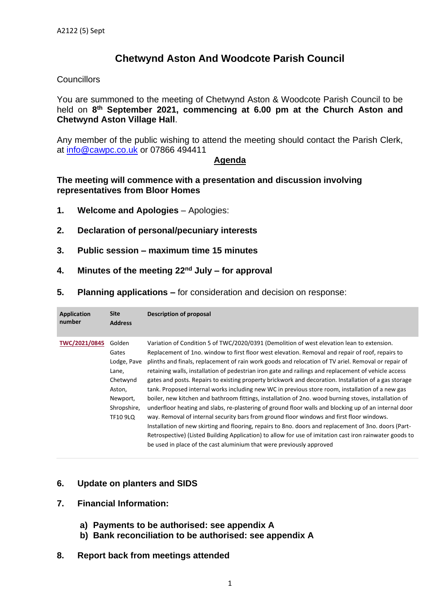## **Chetwynd Aston And Woodcote Parish Council**

#### **Councillors**

You are summoned to the meeting of Chetwynd Aston & Woodcote Parish Council to be held on 8<sup>th</sup> September 2021, commencing at 6.00 pm at the Church Aston and **Chetwynd Aston Village Hall**.

Any member of the public wishing to attend the meeting should contact the Parish Clerk, at [info@cawpc.co.uk](mailto:info@cawpc.co.uk) or 07866 494411

#### **Agenda**

#### **The meeting will commence with a presentation and discussion involving representatives from Bloor Homes**

- **1. Welcome and Apologies** Apologies:
- **2. Declaration of personal/pecuniary interests**
- **3. Public session – maximum time 15 minutes**
- **4. Minutes of the meeting 22 nd July – for approval**
- **5. Planning applications –** for consideration and decision on response:

| <b>Application</b><br>number | <b>Site</b><br><b>Address</b>                                                                               | Description of proposal                                                                                                                                                                                                                                                                                                                                                                                                                                                                                                                                                                                                                                                                                                                                                                                                                                                                                                                                                                                                                                                                                                                                                                                                              |
|------------------------------|-------------------------------------------------------------------------------------------------------------|--------------------------------------------------------------------------------------------------------------------------------------------------------------------------------------------------------------------------------------------------------------------------------------------------------------------------------------------------------------------------------------------------------------------------------------------------------------------------------------------------------------------------------------------------------------------------------------------------------------------------------------------------------------------------------------------------------------------------------------------------------------------------------------------------------------------------------------------------------------------------------------------------------------------------------------------------------------------------------------------------------------------------------------------------------------------------------------------------------------------------------------------------------------------------------------------------------------------------------------|
| TWC/2021/0845                | Golden<br>Gates<br>Lodge, Pave<br>Lane,<br>Chetwynd<br>Aston,<br>Newport,<br>Shropshire,<br><b>TF10 9LQ</b> | Variation of Condition 5 of TWC/2020/0391 (Demolition of west elevation lean to extension.<br>Replacement of 1no. window to first floor west elevation. Removal and repair of roof, repairs to<br>plinths and finals, replacement of rain work goods and relocation of TV ariel. Removal or repair of<br>retaining walls, installation of pedestrian iron gate and railings and replacement of vehicle access<br>gates and posts. Repairs to existing property brickwork and decoration. Installation of a gas storage<br>tank. Proposed internal works including new WC in previous store room, installation of a new gas<br>boiler, new kitchen and bathroom fittings, installation of 2no. wood burning stoves, installation of<br>underfloor heating and slabs, re-plastering of ground floor walls and blocking up of an internal door<br>way. Removal of internal security bars from ground floor windows and first floor windows.<br>Installation of new skirting and flooring, repairs to 8no. doors and replacement of 3no. doors (Part-<br>Retrospective) (Listed Building Application) to allow for use of imitation cast iron rainwater goods to<br>be used in place of the cast aluminium that were previously approved |

- **6. Update on planters and SIDS**
- **7. Financial Information:**
	- **a) Payments to be authorised: see appendix A**
	- **b) Bank reconciliation to be authorised: see appendix A**
- **8. Report back from meetings attended**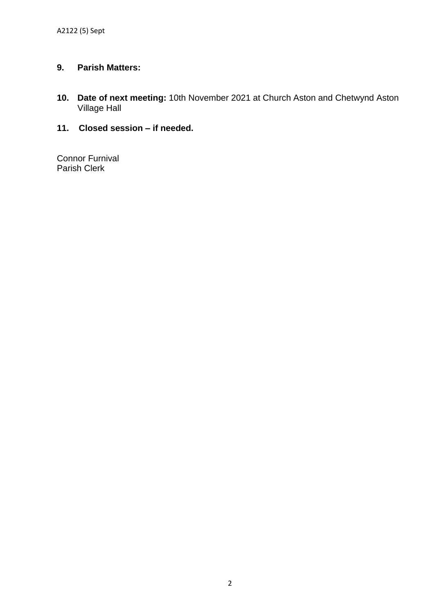### **9. Parish Matters:**

- **10. Date of next meeting:** 10th November 2021 at Church Aston and Chetwynd Aston Village Hall
- **11. Closed session – if needed.**

Connor Furnival Parish Clerk